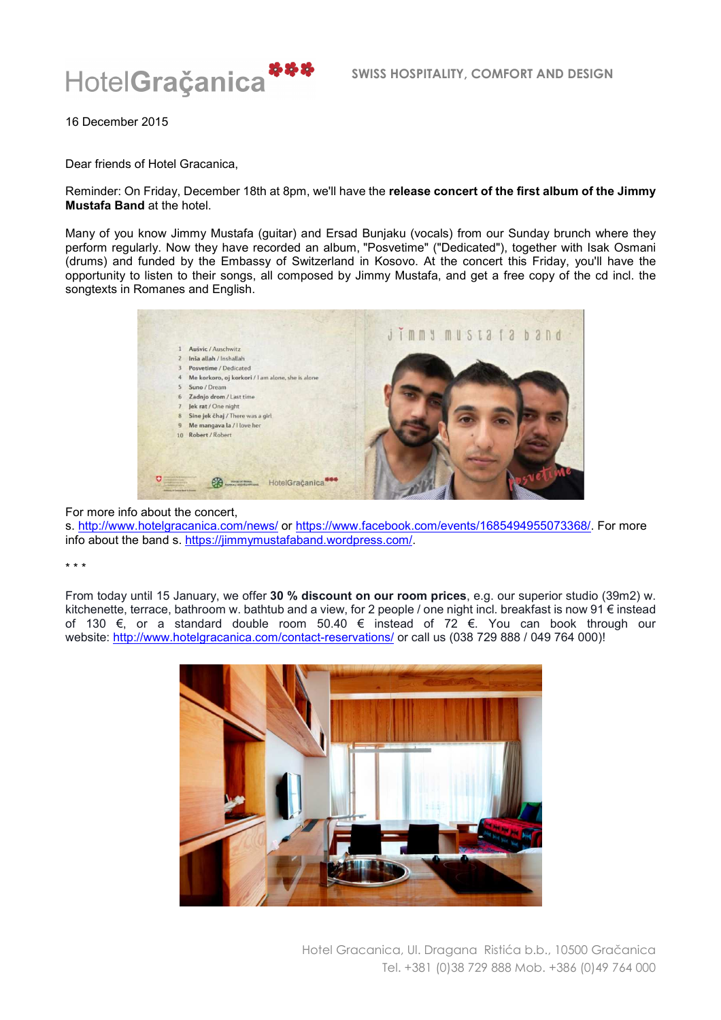

16 December 2015

Dear friends of Hotel Gracanica,

Reminder: On Friday, December 18th at 8pm, we'll have the **release concert of the first album of the Jimmy Mustafa Band** at the hotel.

Many of you know Jimmy Mustafa (guitar) and Ersad Bunjaku (vocals) from our Sunday brunch where they perform regularly. Now they have recorded an album, "Posvetime" ("Dedicated"), together with Isak Osmani (drums) and funded by the Embassy of Switzerland in Kosovo. At the concert this Friday, you'll have the opportunity to listen to their songs, all composed by Jimmy Mustafa, and get a free copy of the cd incl. the songtexts in Romanes and English.



## For more info about the concert,

s. http://www.hotelgracanica.com/news/ or https://www.facebook.com/events/1685494955073368/. For more info about the band s. https://jimmymustafaband.wordpress.com/.

## \* \* \*

From today until 15 January, we offer **30 % discount on our room prices**, e.g. our superior studio (39m2) w. kitchenette, terrace, bathroom w. bathtub and a view, for 2 people / one night incl. breakfast is now 91 € instead of 130 €, or a standard double room 50.40 € instead of 72 €. You can book through our website: http://www.hotelgracanica.com/contact-reservations/ or call us (038 729 888 / 049 764 000)!



Hotel Gracanica, Ul. Dragana Ristića b.b., 10500 Gračanica Tel. +381 (0)38 729 888 Mob. +386 (0)49 764 000